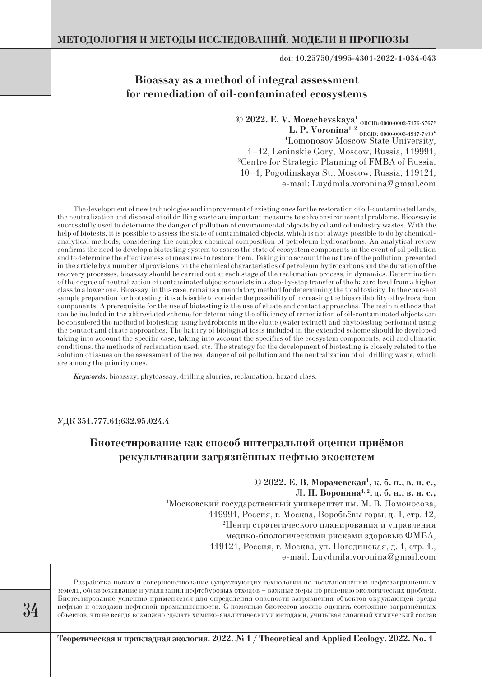**doi: 10.25750/1995-4301-2022-1-034-043**

# **Bioassay as a method of integral assessment for remediation of oil-contaminated ecosystems**

**© 2022. E. V. Morachevskaya1 ORCID: 0000-0002-7176-4767,** L. P. Voronina<sup>1, 2</sup> <sub>ORCID:</sub> 0000-0003-1917-7490'<br><sup>1</sup>Lomonosov Moscow State University, 1–12, Leninskie Gory, Moscow, Russia, 119991, 2 Centre for Strategic Planning of FMBA of Russia, 10–1, Pogodinskaya St., Moscow, Russia, 119121, е-mail: Luydmila.voronina@gmail.com

The development of new technologies and improvement of existing ones for the restoration of oil-contaminated lands, the neutralization and disposal of oil drilling waste are important measures to solve environmental problems. Bioassay is successfully used to determine the danger of pollution of environmental objects by oil and oil industry wastes. With the help of biotests, it is possible to assess the state of contaminated objects, which is not always possible to do by chemicalanalytical methods, considering the complex chemical composition of petroleum hydrocarbons. An analytical review confirms the need to develop a biotesting system to assess the state of ecosystem components in the event of oil pollution and to determine the effectiveness of measures to restore them. Taking into account the nature of the pollution, presented in the article by a number of provisions on the chemical characteristics of petroleum hydrocarbons and the duration of the recovery processes, bioassay should be carried out at each stage of the reclamation process, in dynamics. Determination of the degree of neutralization of contaminated objects consists in a step-by-step transfer of the hazard level from a higher class to a lower one. Bioassay, in this case, remains a mandatory method for determining the total toxicity. In the course of sample preparation for biotesting, it is advisable to consider the possibility of increasing the bioavailability of hydrocarbon components. A prerequisite for the use of biotesting is the use of eluate and contact approaches. The main methods that can be included in the abbreviated scheme for determining the efficiency of remediation of oil-contaminated objects can be considered the method of biotesting using hydrobionts in the eluate (water extract) and phytotesting performed using the contact and eluate approaches. The battery of biological tests included in the extended scheme should be developed taking into account the specific case, taking into account the specifics of the ecosystem components, soil and climatic conditions, the methods of reclamation used, etc. The strategy for the development of biotesting is closely related to the solution of issues on the assessment of the real danger of oil pollution and the neutralization of oil drilling waste, which are among the priority ones.

*Keywords:* bioassay, phytoassay, drilling slurries, reclamation, hazard class.

**УДК 351.777.61;632.95.024.4**

# **Биотестирование как способ интегральной оценки приёмов рекультивации загрязнённых нефтью экосистем**

**© 2022. Е. В. Морачевская1 , к. б. н., в. н. с., Л. П. Воронина1, 2, д. б. н., в. н. с.,** 1 Московский государственный университет им. М. В. Ломоносова, 119991, Россия, г. Москва, Воробьёвы горы, д. 1, стр. 12, 2 Центр стратегического планирования и управления медико-биологическими рисками здоровью ФМБА, 119121, Россия, г. Москва, ул. Погодинская, д. 1, стр. 1., е-mail: Luydmila.voronina@gmail.com

**34**

Разработка новых и совершенствование существующих технологий по восстановлению нефтезагрязнённых земель, обезвреживание и утилизация нефтебуровых отходов – важные меры по решению экологических проблем. Биотестирование успешно применяется для определения опасности загрязнения объектов окружающей среды нефтью и отходами нефтяной промышленности. С помощью биотестов можно оценить состояние загрязнённых объектов, что не всегда возможно сделать химико-аналитическими методами, учитывая сложный химический состав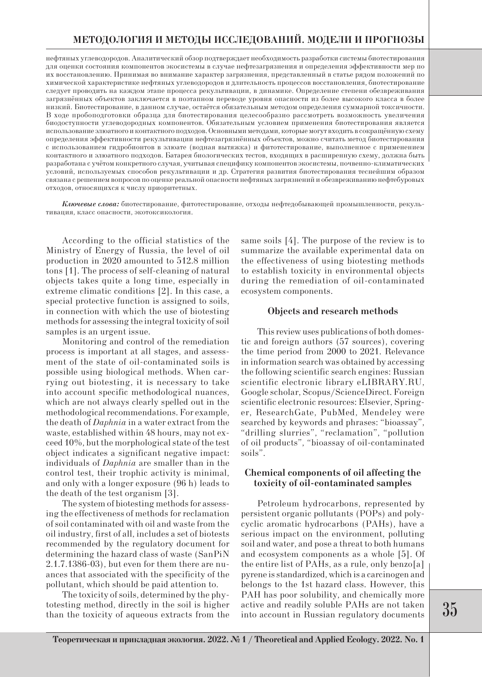нефтяных углеводородов. Аналитический обзор подтверждает необходимость разработки системы биотестирования для оценки состояния компонентов экосистемы в случае нефтезагрязнения и определения эффективности мер по их восстановлению. Принимая во внимание характер загрязнения, представленный в статье рядом положений по химической характеристике нефтяных углеводородов и длительность процессов восстановления, биотестирование следует проводить на каждом этапе процесса рекультивации, в динамике. Определение степени обезвреживания загрязнённых объектов заключается в поэтапном переводе уровня опасности из более высокого класса в более низкий. Биотестирование, в данном случае, остаётся обязательным методом определения суммарной токсичности. В ходе пробоподготовки образца для биотестирования целесообразно рассмотреть возможность увеличения биодоступности углеводородных компонентов. Обязательным условием применения биотестирования является использование элюатного и контактного подходов. Основными методами, которые могут входить в сокращённую схему определения эффективности рекультивации нефтезагрязнённых объектов, можно считать метод биотестирования с использованием гидробионтов в элюате (водная вытяжка) и фитотестирование, выполненное с применением контактного и элюатного подходов. Батарея биологических тестов, входящих в расширенную схему, должна быть разработана с учётом конкретного случая, учитывая специфику компонентов экосистемы, почвенно-климатических условий, используемых способов рекультивации и др. Стратегия развития биотестирования теснейшим образом связана с решением вопросов по оценке реальной опасности нефтяных загрязнений и обезвреживанию нефтебуровых отходов, относящихся к числу приоритетных.

*Ключевые слова:* биотестирование, фитотестирование, отходы нефтедобывающей промышленности, рекультивация, класс опасности, экотоксикология.

According to the official statistics of the Ministry of Energy of Russia, the level of oil production in 2020 amounted to 512.8 million tons [1]. The process of self-cleaning of natural objects takes quite a long time, especially in extreme climatic conditions [2]. In this case, a special protective function is assigned to soils, in connection with which the use of biotesting methods for assessing the integral toxicity of soil samples is an urgent issue.

Monitoring and control of the remediation process is important at all stages, and assessment of the state of oil-contaminated soils is possible using biological methods. When carrying out biotesting, it is necessary to take into account specific methodological nuances, which are not always clearly spelled out in the methodological recommendations. For example, the death of *Daphnia* in a water extract from the waste, established within 48 hours, may not exceed 10%, but the morphological state of the test object indicates a significant negative impact: individuals of *Daphnia* are smaller than in the control test, their trophic activity is minimal, and only with a longer exposure (96 h) leads to the death of the test organism [3].

The system of biotesting methods for assessing the effectiveness of methods for reclamation of soil contaminated with oil and waste from the oil industry, first of all, includes a set of biotests recommended by the regulatory document for determining the hazard class of waste (SanPiN 2.1.7.1386-03), but even for them there are nuances that associated with the specificity of the pollutant, which should be paid attention to.

The toxicity of soils, determined by the phytotesting method, directly in the soil is higher than the toxicity of aqueous extracts from the same soils [4]. The purpose of the review is to summarize the available experimental data on the effectiveness of using biotesting methods to establish toxicity in environmental objects during the remediation of oil-contaminated ecosystem components.

#### **Objects and research methods**

This review uses publications of both domestic and foreign authors (57 sources), covering the time period from 2000 to 2021. Relevance in information search was obtained by accessing the following scientific search engines: Russian scientific electronic library eLIBRARY.RU, Google scholar, Scopus/ScienceDirect. Foreign scientific electronic resources: Elsevier, Springer, ResearchGate, PubMed, Mendeley were searched by keywords and phrases: "bioassay", "drilling slurries", "reclamation", "pollution of oil products", "bioassay of oil-contaminated soils".

### **Chemical components of oil affecting the toxicity of oil-contaminated samples**

Petroleum hydrocarbons, represented by persistent organic pollutants (POPs) and polycyclic aromatic hydrocarbons (PAHs), have a serious impact on the environment, polluting soil and water, and pose a threat to both humans and ecosystem components as a whole [5]. Of the entire list of PAHs, as a rule, only benzo[a] pyrene is standardized, which is a carcinogen and belongs to the 1st hazard class. However, this PAH has poor solubility, and chemically more active and readily soluble PAHs are not taken into account in Russian regulatory documents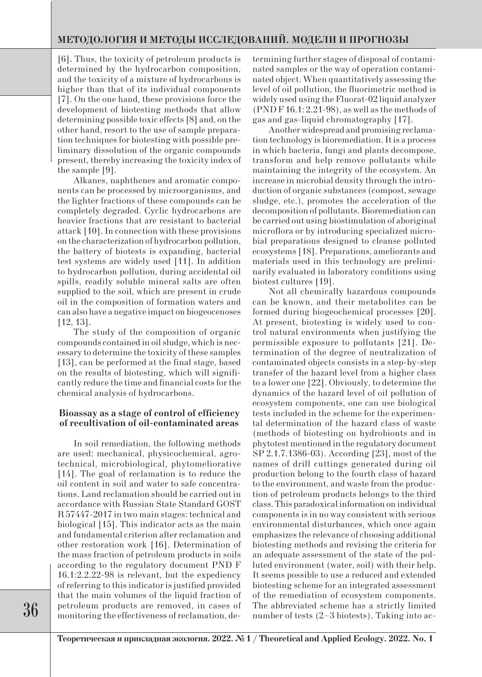[6]. Thus, the toxicity of petroleum products is determined by the hydrocarbon composition, and the toxicity of a mixture of hydrocarbons is higher than that of its individual components [7]. On the one hand, these provisions force the development of biotesting methods that allow determining possible toxic effects [8] and, on the other hand, resort to the use of sample preparation techniques for biotesting with possible preliminary dissolution of the organic compounds present, thereby increasing the toxicity index of the sample [9].

Alkanes, naphthenes and aromatic components can be processed by microorganisms, and the lighter fractions of these compounds can be completely degraded. Cyclic hydrocarbons are heavier fractions that are resistant to bacterial attack [10]. In connection with these provisions on the characterization of hydrocarbon pollution, the battery of biotests is expanding, bacterial test systems are widely used [11]. In addition to hydrocarbon pollution, during accidental oil spills, readily soluble mineral salts are often supplied to the soil, which are present in crude oil in the composition of formation waters and can also have a negative impact on biogeocenoses [12, 13].

The study of the composition of organic compounds contained in oil sludge, which is necessary to determine the toxicity of these samples [13], can be performed at the final stage, based on the results of biotesting, which will significantly reduce the time and financial costs for the chemical analysis of hydrocarbons.

### **Bioassay as a stage of control of efficiency of recultivation of oil-contaminated areas**

In soil remediation, the following methods are used: mechanical, physicochemical, agrotechnical, microbiological, phytomeliorative [14]. The goal of reclamation is to reduce the oil content in soil and water to safe concentrations. Land reclamation should be carried out in accordance with Russian State Standard GOST R 57447-2017 in two main stages: technical and biological [15]. This indicator acts as the main and fundamental criterion after reclamation and other restoration work [16]. Determination of the mass fraction of petroleum products in soils according to the regulatory document PND F 16.1:2.2.22-98 is relevant, but the expediency of referring to this indicator is justified provided that the main volumes of the liquid fraction of petroleum products are removed, in cases of monitoring the effectiveness of reclamation, determining further stages of disposal of contaminated samples or the way of operation contaminated object. When quantitatively assessing the level of oil pollution, the fluorimetric method is widely used using the Fluorat-02 liquid analyzer (PND F 16.1: 2.21-98), as well as the methods of gas and gas-liquid chromatography [17].

Another widespread and promising reclamation technology is bioremediation. It is a process in which bacteria, fungi and plants decompose, transform and help remove pollutants while maintaining the integrity of the ecosystem. An increase in microbial density through the introduction of organic substances (compost, sewage sludge, etc.), promotes the acceleration of the decomposition of pollutants. Bioremediation can be carried out using biostimulation of aboriginal microflora or by introducing specialized microbial preparations designed to cleanse polluted ecosystems [18]. Preparations, ameliorants and materials used in this technology are preliminarily evaluated in laboratory conditions using biotest cultures [19].

Not all chemically hazardous compounds can be known, and their metabolites can be formed during biogeochemical processes [20]. At present, biotesting is widely used to control natural environments when justifying the permissible exposure to pollutants [21]. Determination of the degree of neutralization of contaminated objects consists in a step-by-step transfer of the hazard level from a higher class to a lower one [22]. Obviously, to determine the dynamics of the hazard level of oil pollution of ecosystem components, one can use biological tests included in the scheme for the experimental determination of the hazard class of waste (methods of biotesting on hydrobionts and in phytotest mentioned in the regulatory document SP 2.1.7.1386-03). According [23], most of the names of drill cuttings generated during oil production belong to the fourth class of hazard to the environment, and waste from the production of petroleum products belongs to the third class. This paradoxical information on individual components is in no way consistent with serious environmental disturbances, which once again emphasizes the relevance of choosing additional biotesting methods and revising the criteria for an adequate assessment of the state of the polluted environment (water, soil) with their help. It seems possible to use a reduced and extended biotesting scheme for an integrated assessment of the remediation of ecosystem components. The abbreviated scheme has a strictly limited number of tests (2–3 biotests). Taking into ac-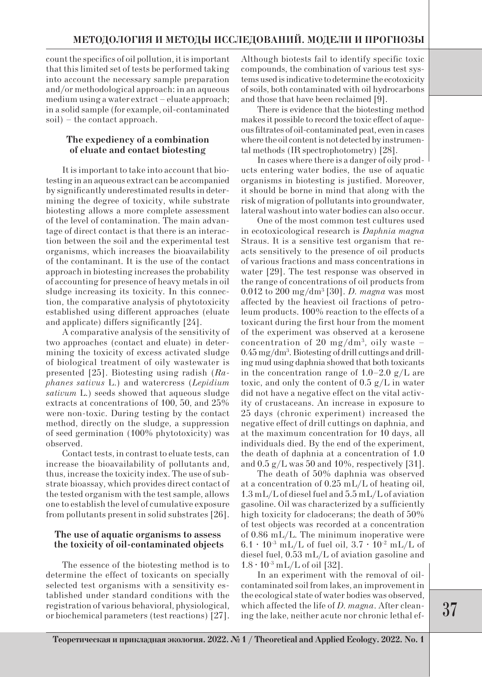count the specifics of oil pollution, it is important that this limited set of tests be performed taking into account the necessary sample preparation and/or methodological approach: in an aqueous medium using a water extract – eluate approach; in a solid sample (for example, oil-contaminated soil) – the contact approach.

## **The expediency of a combination of eluate and contact biotesting**

It is important to take into account that biotesting in an aqueous extract can be accompanied by significantly underestimated results in determining the degree of toxicity, while substrate biotesting allows a more complete assessment of the level of contamination. The main advantage of direct contact is that there is an interaction between the soil and the experimental test organisms, which increases the bioavailability of the contaminant. It is the use of the contact approach in biotesting increases the probability of accounting for presence of heavy metals in oil sludge increasing its toxicity. In this connection, the comparative analysis of phytotoxicity established using different approaches (eluate and applicate) differs significantly [24].

A comparative analysis of the sensitivity of two approaches (contact and eluate) in determining the toxicity of excess activated sludge of biological treatment of oily wastewater is presented [25]. Biotesting using radish (*Raphanes sativus* L.) and watercress (*Lepidium sativum* L.) seeds showed that aqueous sludge extracts at concentrations of 100, 50, and 25% were non-toxic. During testing by the contact method, directly on the sludge, a suppression of seed germination (100% phytotoxicity) was observed.

Contact tests, in contrast to eluate tests, can increase the bioavailability of pollutants and, thus, increase the toxicity index. The use of substrate bioassay, which provides direct contact of the tested organism with the test sample, allows one to establish the level of cumulative exposure from pollutants present in solid substrates [26].

### **The use of aquatic organisms to assess the toxicity of oil-contaminated objects**

The essence of the biotesting method is to determine the effect of toxicants on specially selected test organisms with a sensitivity established under standard conditions with the registration of various behavioral, physiological, or biochemical parameters (test reactions) [27]. Although biotests fail to identify specific toxic compounds, the combination of various test systems used is indicative to determine the ecotoxicity of soils, both contaminated with oil hydrocarbons and those that have been reclaimed [9].

There is evidence that the biotesting method makes it possible to record the toxic effect of aqueous filtrates of oil-contaminated peat, even in cases where the oil content is not detected by instrumental methods (IR spectrophotometry) [28].

In cases where there is a danger of oily products entering water bodies, the use of aquatic organisms in biotesting is justified. Moreover, it should be borne in mind that along with the risk of migration of pollutants into groundwater, lateral washout into water bodies can also occur.

One of the most common test cultures used in ecotoxicological research is *Daphnia magna* Straus. It is a sensitive test organism that reacts sensitively to the presence of oil products of various fractions and mass concentrations in water [29]. The test response was observed in the range of concentrations of oil products from 0.012 to 200 mg/dm3 [30]. *D. magna* was most affected by the heaviest oil fractions of petroleum products. 100% reaction to the effects of a toxicant during the first hour from the moment of the experiment was observed at a kerosene concentration of 20 mg/dm<sup>3</sup>, oily waste – 0.45 mg/dm3 . Biotesting of drill cuttings and drilling mud using daphnia showed that both toxicants in the concentration range of  $1.0-2.0$  g/L are toxic, and only the content of 0.5 g/L in water did not have a negative effect on the vital activity of crustaceans. An increase in exposure to 25 days (chronic experiment) increased the negative effect of drill cuttings on daphnia, and at the maximum concentration for 10 days, all individuals died. By the end of the experiment, the death of daphnia at a concentration of 1.0 and  $0.5$  g/L was 50 and 10%, respectively [31].

The death of 50% daphnia was observed at a concentration of 0.25 mL/L of heating oil, 1.3 mL/L of diesel fuel and 5.5 mL/L of aviation gasoline. Oil was characterized by a sufficiently high toxicity for cladocerans; the death of 50% of test objects was recorded at a concentration of 0.86 mL/L. The minimum inoperative were  $6.1 \cdot 10^{3}$  mL/L of fuel oil,  $3.7 \cdot 10^{2}$  mL/L of diesel fuel, 0.53 mL/L of aviation gasoline and  $1.8 \cdot 10^{-3}$  mL/L of oil [32].

In an experiment with the removal of oilcontaminated soil from lakes, an improvement in the ecological state of water bodies was observed, which affected the life of *D. magna*. After cleaning the lake, neither acute nor chronic lethal ef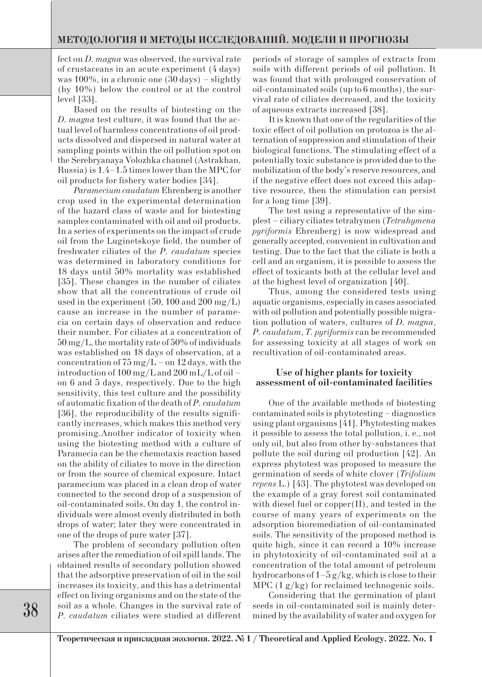fect on *D. magna* was observed, the survival rate of crustaceans in an acute experiment (4 days) was 100%, in a chronic one (30 days) – slightly (by 10%) below the control or at the control level [33].

Based on the results of biotesting on the *D. magna* test culture, it was found that the actual level of harmless concentrations of oil products dissolved and dispersed in natural water at sampling points within the oil pollution spot on the Serebryanaya Volozhka channel (Astrakhan, Russia) is 1.4–1.5 times lower than the MPC for oil products for fishery water bodies [34].

*Paramecium caudatum* Ehrenberg is another crop used in the experimental determination of the hazard class of waste and for biotesting samples contaminated with oil and oil products. In a series of experiments on the impact of crude oil from the Luginetskoye field, the number of freshwater ciliates of the *P. caudatum* species was determined in laboratory conditions for 18 days until 50% mortality was established [35]. These changes in the number of ciliates show that all the concentrations of crude oil used in the experiment  $(50, 100 \text{ and } 200 \text{ mg/L})$ cause an increase in the number of paramecia on certain days of observation and reduce their number. For ciliates at a concentration of 50 mg/L, the mortality rate of 50% of individuals was established on 18 days of observation, at a concentration of  $75 \,\mathrm{mg/L}$  – on 12 days, with the introduction of 100 mg/L and 200 mL/L of oil – on 6 and 5 days, respectively. Due to the high sensitivity, this test culture and the possibility of automatic fixation of the death of *P. caudatum* [36], the reproducibility of the results significantly increases, which makes this method very promising.Another indicator of toxicity when using the biotesting method with a culture of Paramecia can be the chemotaxis reaction based on the ability of ciliates to move in the direction or from the source of chemical exposure. Intact paramecium was placed in a clean drop of water connected to the second drop of a suspension of oil-contaminated soils. On day 1, the control individuals were almost evenly distributed in both drops of water; later they were concentrated in one of the drops of pure water [37].

The problem of secondary pollution often arises after the remediation of oil spill lands. The obtained results of secondary pollution showed that the adsorptive preservation of oil in the soil increases its toxicity, and this has a detrimental effect on living organisms and on the state of the soil as a whole. Changes in the survival rate of *P. caudatum* ciliates were studied at different periods of storage of samples of extracts from soils with different periods of oil pollution. It was found that with prolonged conservation of oil-contaminated soils (up to 6 months), the survival rate of ciliates decreased, and the toxicity of aqueous extracts increased [38].

It is known that one of the regularities of the toxic effect of oil pollution on protozoa is the alternation of suppression and stimulation of their biological functions. The stimulating effect of a potentially toxic substance is provided due to the mobilization of the body's reserve resources, and if the negative effect does not exceed this adaptive resource, then the stimulation can persist for a long time [39].

The test using a representative of the simplest – ciliary ciliates tetrahymen (*Tetrahymena pyriformis* Ehrenberg) is now widespread and generally accepted, convenient in cultivation and testing. Due to the fact that the ciliate is both a cell and an organism, it is possible to assess the effect of toxicants both at the cellular level and at the highest level of organization [40].

Thus, among the considered tests using aquatic organisms, especially in cases associated with oil pollution and potentially possible migration pollution of waters, cultures of *D. magna*, *P. caudatum*, *T. pyriformis* can be recommended for assessing toxicity at all stages of work on recultivation of oil-contaminated areas.

#### **Use of higher plants for toxicity assessment of oil-contaminated facilities**

One of the available methods of biotesting contaminated soils is phytotesting – diagnostics using plant organisms [41]. Phytotesting makes it possible to assess the total pollution, i. e., not only oil, but also from other by-substances that pollute the soil during oil production [42]. An express phytotest was proposed to measure the germination of seeds of white clover (*Trifolium repens* L.) [43]. The phytotest was developed on the example of a gray forest soil contaminated with diesel fuel or copper(II), and tested in the course of many years of experiments on the adsorption bioremediation of oil-contaminated soils. The sensitivity of the proposed method is quite high, since it can record a 10% increase in phytotoxicity of oil-contaminated soil at a concentration of the total amount of petroleum hydrocarbons of  $1-5$  g/kg, which is close to their MPC (1 g/kg) for reclaimed technogenic soils.

Considering that the germination of plant seeds in oil-contaminated soil is mainly determined by the availability of water and oxygen for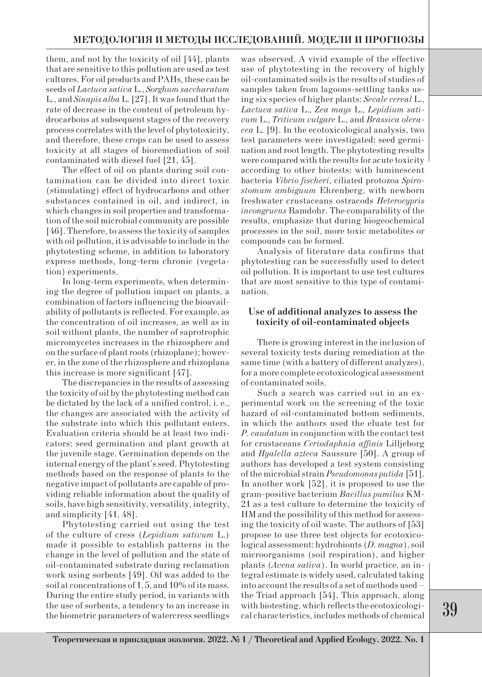them, and not by the toxicity of oil [44], plants that are sensitive to this pollution are used as test cultures. For oil products and PAHs, these can be seeds of *Lactuca sativa*L., *Sorghum saccharatum* L., and *Sinapis alba* L. [27]. It was found that the rate of decrease in the content of petroleum hydrocarbons at subsequent stages of the recovery process correlates with the level of phytotoxicity, and therefore, these crops can be used to assess toxicity at all stages of bioremediation of soil contaminated with diesel fuel [21, 45].

The effect of oil on plants during soil contamination can be divided into direct toxic (stimulating) effect of hydrocarbons and other substances contained in oil, and indirect, in which changes in soil properties and transformation of the soil microbial community are possible [46]. Therefore, to assess the toxicity of samples with oil pollution, it is advisable to include in the phytotesting scheme, in addition to laboratory express methods, long-term chronic (vegetation) experiments.

In long-term experiments, when determining the degree of pollution impact on plants, a combination of factors influencing the bioavailability of pollutants is reflected. For example, as the concentration of oil increases, as well as in soil without plants, the number of saprotrophic micromycetes increases in the rhizosphere and on the surface of plant roots (rhizoplane); however, in the zone of the rhizosphere and rhizoplana this increase is more significant [47].

The discrepancies in the results of assessing the toxicity of oil by the phytotesting method can be dictated by the lack of a unified control, i. e., the changes are associated with the activity of the substrate into which this pollutant enters. Evaluation criteria should be at least two indicators: seed germination and plant growth at the juvenile stage. Germination depends on the internal energy of the plant's seed. Phytotesting methods based on the response of plants to the negative impact of pollutants are capable of providing reliable information about the quality of soils, have high sensitivity, versatility, integrity, and simplicity [41, 48].

Phytotesting carried out using the test of the culture of cress (*Lepidium sativum* L.) made it possible to establish patterns in the change in the level of pollution and the state of oil-contaminated substrate during reclamation work using sorbents [49]. Oil was added to the soil at concentrations of 1, 5, and 10% of its mass. During the entire study period, in variants with the use of sorbents, a tendency to an increase in the biometric parameters of watercress seedlings

was observed. A vivid example of the effective use of phytotesting in the recovery of highly oil-contaminated soils is the results of studies of samples taken from lagoons-settling tanks using six species of higher plants: *Secale cereal* L., *Lactuca sativa* L., *Zea mays* L., *Lepidium sativum* L., *Triticum vulgare* L., and *Brassica oleracea* L. [9]. In the ecotoxicological analysis, two test parameters were investigated: seed germination and root length. The phytotesting results were compared with the results for acute toxicity according to other biotests: with luminescent bacteria *Vibrio fischeri*, ciliated protozoa *Spirostomum ambiguum* Ehrenberg, with newborn freshwater crustaceans ostracods *Heterocypris incongruens* Ramdohr. The comparability of the results, emphasize that during biogeochemical processes in the soil, more toxic metabolites or compounds can be formed.

Analysis of literature data confirms that phytotesting can be successfully used to detect oil pollution. It is important to use test cultures that are most sensitive to this type of contamination.

### **Use of additional analyzes to assess the toxicity of oil-contaminated objects**

There is growing interest in the inclusion of several toxicity tests during remediation at the same time (with a battery of different analyzes), for a more complete ecotoxicological assessment of contaminated soils.

Such a search was carried out in an experimental work on the screening of the toxic hazard of oil-contaminated bottom sediments, in which the authors used the eluate test for *P. caudatum* in conjunction with the contact test for crustaceans *Ceriodaphnia affinis* Lilljeborg and *Hyalella azteca* Saussure [50]. A group of authors has developed a test system consisting of the microbial strain *Pseudomonas putida* [51]. In another work [52], it is proposed to use the gram-positive bacterium *Bacillus pumilus* KM-21 as a test culture to determine the toxicity of HM and the possibility of this method for assessing the toxicity of oil waste. The authors of [53] propose to use three test objects for ecotoxicological assessment: hydrobionts (*D. magna*), soil microorganisms (soil respiration), and higher plants (*Avena sativa*). In world practice, an integral estimate is widely used, calculated taking into account the results of a set of methods used – the Triad approach [54]. This approach, along with biotesting, which reflects the ecotoxicological characteristics, includes methods of chemical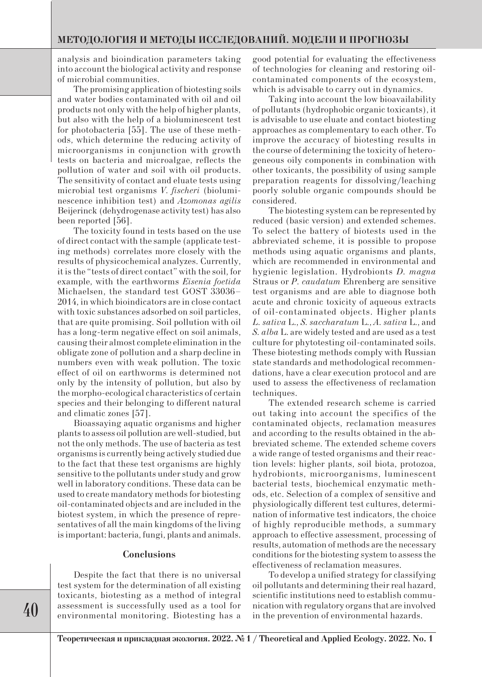analysis and bioindication parameters taking into account the biological activity and response of microbial communities.

The promising application of biotesting soils and water bodies contaminated with oil and oil products not only with the help of higher plants, but also with the help of a bioluminescent test for photobacteria [55]. The use of these methods, which determine the reducing activity of microorganisms in conjunction with growth tests on bacteria and microalgae, reflects the pollution of water and soil with oil products. The sensitivity of contact and eluate tests using microbial test organisms *V. fischeri* (bioluminescence inhibition test) and *Azomonas agilis* Beijerinck (dehydrogenase activity test) has also been reported [56].

The toxicity found in tests based on the use of direct contact with the sample (applicate testing methods) correlates more closely with the results of physicochemical analyzes. Currently, it is the "tests of direct contact" with the soil, for example, with the earthworms *Eisenia foetida* Michaelsen, the standard test GOST 33036– 2014, in which bioindicators are in close contact with toxic substances adsorbed on soil particles, that are quite promising. Soil pollution with oil has a long-term negative effect on soil animals, causing their almost complete elimination in the obligate zone of pollution and a sharp decline in numbers even with weak pollution. The toxic effect of oil on earthworms is determined not only by the intensity of pollution, but also by the morpho-ecological characteristics of certain species and their belonging to different natural and climatic zones [57].

Bioassaying aquatic organisms and higher plants to assess oil pollution are well-studied, but not the only methods. The use of bacteria as test organisms is currently being actively studied due to the fact that these test organisms are highly sensitive to the pollutants under study and grow well in laboratory conditions. These data can be used to create mandatory methods for biotesting oil-contaminated objects and are included in the biotest system, in which the presence of representatives of all the main kingdoms of the living is important: bacteria, fungi, plants and animals.

#### **Conclusions**

Despite the fact that there is no universal test system for the determination of all existing toxicants, biotesting as a method of integral assessment is successfully used as a tool for environmental monitoring. Biotesting has a good potential for evaluating the effectiveness of technologies for cleaning and restoring oilcontaminated components of the ecosystem, which is advisable to carry out in dynamics.

Taking into account the low bioavailability of pollutants (hydrophobic organic toxicants), it is advisable to use eluate and contact biotesting approaches as complementary to each other. To improve the accuracy of biotesting results in the course of determining the toxicity of heterogeneous oily components in combination with other toxicants, the possibility of using sample preparation reagents for dissolving/leaching poorly soluble organic compounds should be considered.

The biotesting system can be represented by reduced (basic version) and extended schemes. To select the battery of biotests used in the abbreviated scheme, it is possible to propose methods using aquatic organisms and plants, which are recommended in environmental and hygienic legislation. Hydrobionts *D. magna* Straus or *P. caudatum* Ehrenberg are sensitive test organisms and are able to diagnose both acute and chronic toxicity of aqueous extracts of oil-contaminated objects. Higher plants *L. sativa* L., *S. saccharatum* L., *A. sativa* L., and *S. alba* L. are widely tested and are used as a test culture for phytotesting oil-contaminated soils. These biotesting methods comply with Russian state standards and methodological recommendations, have a clear execution protocol and are used to assess the effectiveness of reclamation techniques.

The extended research scheme is carried out taking into account the specifics of the contaminated objects, reclamation measures and according to the results obtained in the abbreviated scheme. The extended scheme covers a wide range of tested organisms and their reaction levels: higher plants, soil biota, protozoa, hydrobionts, microorganisms, luminescent bacterial tests, biochemical enzymatic methods, etc. Selection of a complex of sensitive and physiologically different test cultures, determination of informative test indicators, the choice of highly reproducible methods, a summary approach to effective assessment, processing of results, automation of methods are the necessary conditions for the biotesting system to assess the effectiveness of reclamation measures.

To develop a unified strategy for classifying oil pollutants and determining their real hazard, scientific institutions need to establish communication with regulatory organs that are involved in the prevention of environmental hazards.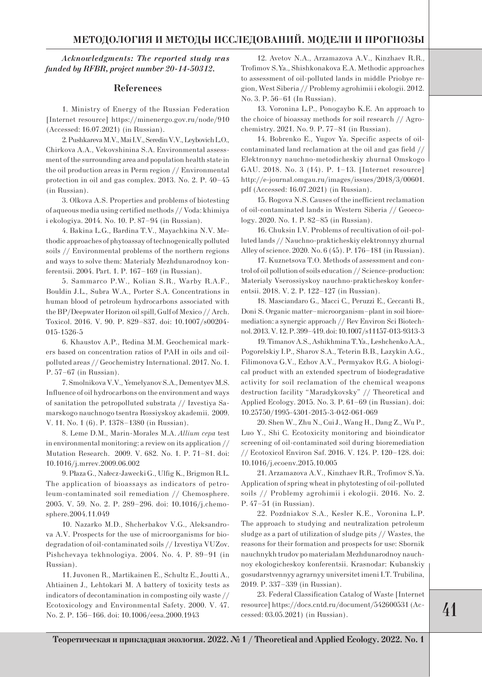*Acknowledgments: The reported study was funded by RFBR, project number 20-14-50312.*

#### **References**

1. Ministry of Energy of the Russian Federation [Internet resource] https://minenergo.gov.ru/node/910 (Accessed: 16.07.2021) (in Russian).

2. Pushkareva M.V., Mai I.V., Seredin V.V., Leybovich L.O., Chirkova A.A., Vekovshinina S.A. Environmental assessment of the surrounding area and population health state in the oil production areas in Perm region // Environmental protection in oil and gas complex. 2013. No. 2. P. 40–45 (in Russian).

3. Olkova A.S. Properties and problems of biotesting of aqueous media using certified methods // Voda: khimiya i ekologiya. 2014. No. 10. P. 87–94 (in Russian).

4. Bakina L.G., Bardina T.V., Mayachkina N.V. Methodic approaches of phytoassay of technogenically polluted soils // Environmental problems of the northern regions and ways to solve them: Materialy Mezhdunarodnoy konferentsii. 2004. Part. 1. P. 167–169 (in Russian).

5. Sammarco P.W., Kolian S.R., Warby R.A.F., Bouldin J.L., Subra W.A., Porter S.A. Concentrations in human blood of petroleum hydrocarbons associated with the BP/Deepwater Horizon oil spill, Gulf of Mexico // Arch. Toxicol. 2016. V. 90. P. 829–837. doi: 10.1007/s00204- 015-1526-5

6. Khaustov A.P., Redina M.M. Geochemical markers based on concentration ratios of PAH in oils and oilpolluted areas // Geochemistry International. 2017. No. 1. P. 57–67 (in Russian).

7. Smolnikova V.V., Yemelyanov S.A., Dementyev M.S. Influence of oil hydrocarbons on the environment and ways of sanitation the petropolluted substrata // Izvestiya Samarskogo nauchnogo tsentra Rossiyskoy akademii. 2009. V. 11. No. 1 (6). P. 1378–1380 (in Russian).

8. Leme D.M., Marin-Morales M.A. *Allium cepa* test in environmental monitoring: a review on its application // Mutation Research. 2009. V. 682. No. 1. P. 71–81. doi: 10.1016/j.mrrev.2009.06.002

9. Płaza G., Nałecz-Jawecki G., Ulfig K., Brigmon R.L. The application of bioassays as indicators of petroleum-contaminated soil remediation // Chemosphere. 2005. V. 59. No. 2. P. 289–296. doi: 10.1016/j.chemosphere.2004.11.049

10. Nazarko M.D., Shcherbakov V.G., Aleksandrova A.V. Prospects for the use of microorganisms for biodegradation of oil-contaminated soils // Izvestiya VUZov. Pishchevaya tekhnologiya. 2004. No. 4. P. 89–91 (in Russian).

11. Juvonen R., Martikainen E., Schultz E., Joutti A., Ahtiainen J., Lehtokari M. A battery of toxicity tests as indicators of decontamination in composting oily waste // Ecotoxicology and Environmental Safety. 2000. V. 47. No. 2. P. 156–166. doi: 10.1006/eesa.2000.1943

12. Avetov N.A., Arzamazova A.V., Kinzhaev R.R., Trofimov S.Ya., Shishkonakova E.A. Methodic approaches to assessment of oil-polluted lands in middle Priobye region, West Siberia // Problemy agrohimii i ekologii. 2012. No. 3. P. 56–61 (In Russian).

13. Voronina L.P., Ponogaybo K.E. An approach to the choice of bioassay methods for soil research // Agrochemistry. 2021. No. 9. P. 77–81 (in Russian).

14. Bobrenko E., Yugov Ya. Specific aspects of oilcontaminated land reclamation at the oil and gas field // Elektronnyy nauchno-metodicheskiy zhurnal Omskogo GAU. 2018. No. 3 (14). P. 1–13. [Internet resource] http://e-journal.omgau.ru/images/issues/2018/3/00601. pdf (Accessed: 16.07.2021) (in Russian).

15. Rogova N.S. Causes of the inefficient reclamation of oil-contaminated lands in Western Siberia // Geoecology. 2020. No. 1. P. 82–85 (in Russian).

16. Chuksin I.V. Problems of recultivation of oil-polluted lands // Nauchno-prakticheskiy elektronnyy zhurnal Alley of science. 2020. No. 6 (45). P. 176–181 (in Russian).

17. Kuznetsova T.O. Methods of assessment and control of oil pollution of soils education // Science-production: Materialy Vserossiyskoy nauchno-prakticheskoy konferentsii. 2018. V. 2. P. 122–127 (in Russian).

18. Masciandaro G., Macci C., Peruzzi E., Ceccanti B., Doni S. Organic matter–microorganism–plant in soil bioremediation: a synergic approach // Rev Environ Sci Biotechnol. 2013. V. 12. P. 399–419. doi: 10.1007/s11157-013-9313-3

19. Timanov A.S., Ashikhmina T.Ya., Leshchenko A.A., Pogorelskiy I.P., Sharov S.A., Teterin В.В., Lazykin A.G., Filimonova G.V., Ezhov A.V., Permyakov R.G. A biological product with an extended spectrum of biodegradative activity for soil reclamation of the chemical weapons destruction facility "Maradykovsky" // Theoretical and Applied Ecology. 2015. No. 3. P. 61–69 (in Russian). doi: 10.25750/1995-4301-2015-3-042-061-069

20. Shen W., Zhu N., Cui J., Wang H., Dang Z., Wu P., Luo Y., Shi C. Ecotoxicity monitoring and bioindicator screening of oil-contaminated soil during bioremediation // Ecotoxicol Environ Saf. 2016. V. 124. P. 120–128. doi: 10.1016/j.ecoenv.2015.10.005

21. Arzamazova A.V., Kinzhaev R.R., Trofimov S.Ya. Application of spring wheat in phytotesting of oil-polluted soils // Problemy agrohimii i ekologii. 2016. No. 2. P. 47–51 (in Russian).

22. Pozdniakov S.A., Kesler K.E., Voronina L.P. The approach to studying and neutralization petroleum sludge as a part of utilization of sludge pits // Wastes, the reasons for their formation and prospects for use: Sbornik nauchnykh trudov po materialam Mezhdunarodnoy nauchnoy ekologicheskoy konferentsii. Krasnodar: Kubanskiy gosudarstvennyy agrarnyy universitet imeni I.T. Trubilina, 2019. P. 337–339 (in Russian).

23. Federal Classification Catalog of Waste [Internet resource] https://docs.cntd.ru/document/542600531 (Accessed: 03.05.2021) (in Russian).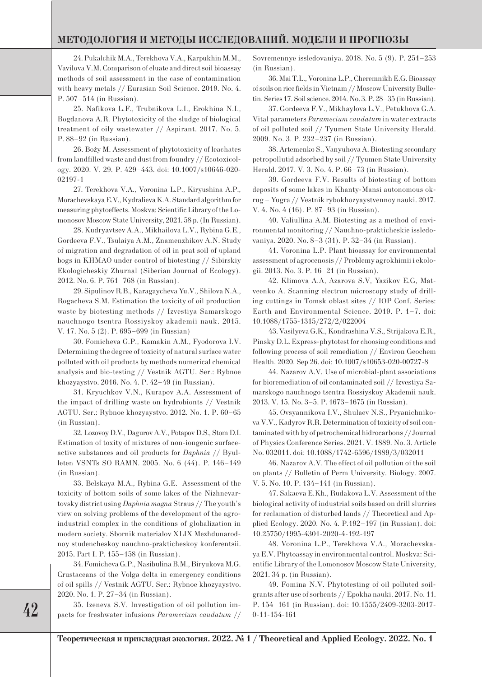24. Pukalchik М.А., Terekhova V.А., Karpukhin М.М., Vavilova V.М. Comparison of eluate and direct soil bioassay methods of soil assessment in the case of contamination with heavy metals // Eurasian Soil Science. 2019. No. 4. P. 507–514 (in Russian).

25. Nafikova L.F., Trubnikova L.I., Erokhina N.I., Bogdanova A.R. Phytotoxicity of the sludge of biological treatment of oily wastewater // Aspirant. 2017. No. 5. P. 88–92 (in Russian).

26. Boży M. Assessment of phytotoxicity of leachates from landfilled waste and dust from foundry // Ecotoxicology. 2020. V. 29. P. 429–443. doi: 10.1007/s10646-020- 02197-1

27. Terekhova V.A., Voronina L.P., Kiryushina A.P., Morachevskaya E.V., Kydralieva K.A. Standard algorithm for measuring phytoeffects. Moskva: Scientific Library of the Lomonosov Moscow State University, 2021. 58 p. (In Russian).

28. Kudryavtsev A.A., Mikhailova L.V., Rybina G.E., Gordeeva F.V., Tsulaiya A.M., Znamenzhikov A.N. Study of migration and degradation of oil in peat soil of upland bogs in KHMAO under control of biotesting // Sibirskiy Ekologicheskiy Zhurnal (Siberian Journal of Ecology). 2012. No. 6. P. 761–768 (in Russian).

29. Sipulinov R.B., Karagaycheva Yu.V., Shilova N.A., Rogacheva S.M. Estimation the toxicity of oil production waste by biotesting methods // Izvestiya Samarskogo nauchnogo tsentra Rossiyskoy akademii nauk. 2015. V. 17. No. 5 (2). P. 695–699 (in Russian)

30. Fomicheva G.P., Kamakin A.M., Fyodorova I.V. Determining the degree of toxicity of natural surface water polluted with oil products by methods numerical chemical analysis and bio-testing // Vestnik AGTU. Ser.: Rybnoe khozyaystvo. 2016. No. 4. P. 42–49 (in Russian).

31. Kryuchkov V.N., Kurapov A.A. Assessment of the impact of drilling waste on hydrobionts // Vestnik AGTU. Ser.: Rybnoe khozyaystvo. 2012. No. 1. P. 60–65 (in Russian).

32. Lozovoy D.V., Dagurov A.V., Potapov D.S., Stom D.I. Estimation of toxity of mixtures of non-iongenic surfaceactive substances and oil products for *Daphnia* // Byulleten VSNTs SO RAMN. 2005. No. 6 (44). P. 146–149 (in Russian).

33. Belskaya M.A., Rybina G.E. Assessment of the toxicity of bottom soils of some lakes of the Nizhnevartovsky district using *Daphnia magna* Straus // The youth's view on solving problems of the development of the agroindustrial complex in the conditions of globalization in modern society. Sbornik materialov XLIX Mezhdunarodnoy studencheskoy nauchno-prakticheskoy konferentsii. 2015. Part I. P. 155–158 (in Russian).

34. Fomicheva G.P., Nasibulina B.M., Biryukova M.G. Crustaceans of the Volga delta in emergency conditions of oil spills // Vestnik AGTU. Ser.: Rybnoe khozyaystvo. 2020. No. 1. P. 27–34 (in Russian).

35. Izeneva S.V. Investigation of oil pollution impacts for freshwater infusions *Paramecium caudatum* // Sovremennye issledovaniya. 2018. No. 5 (9). P. 251–253 (in Russian).

36. Mai T.L., Voronina L.P., Cheremnikh E.G. Bioassay of soils on rice fields in Vietnam // Moscow University Bulletin. Series 17. Soil science. 2014. No. 3. P. 28–35 (in Russian).

37. Gordeeva F.V., Mikhaylova L.V., Petukhova G.A. Vital parameters *Paramecium caudatum* in water extracts of oil polluted soil // Tyumen State University Herald. 2009. No. 3. P. 232–237 (in Russian).

38. Artemenko S., Vanyuhova A. Biotesting secondary petropollutid adsorbed by soil // Tyumen State University Herald. 2017. V. 3. No. 4. P. 66–73 (in Russian).

39. Gordeeva F.V. Results of biotesting of bottom deposits of some lakes in Khanty-Mansi autonomous okrug – Yugra // Vestnik rybokhozyaystvennoy nauki. 2017. V. 4. No. 4 (16). P. 87–93 (in Russian).

40. Valiullina A.M. Biotesting as a method of environmental monitoring // Nauchno-prakticheskie issledovaniya. 2020. No. 8–3 (31). P. 32–34 (in Russian).

41. Voronina L.P. Plant bioassay for environmental assessment of agrocenosis // Problemy agrokhimii i ekologii. 2013. No. 3. P. 16–21 (in Russian).

42. Klimova A.A, Azarova S.V, Yazikov E.G, Matveenko A. Scanning electron microscopy study of drilling cuttings in Tomsk oblast sites // IOP Conf. Series: Earth and Environmental Science. 2019. P. 1–7. doi: 10.1088/1755-1315/272/2/022004

43. Vasilyeva G.K., Kondrashina V.S., Strijakova E.R., Pinsky D.L. Express-phytotest for choosing conditions and following process of soil remediation // Environ Geochem Health. 2020. Sep 26. doi: 10.1007/s10653-020-00727-8

44. Nazarov A.V. Use of microbial-plant associations for bioremediation of oil contaminated soil // Izvestiya Samarskogo nauchnogo tsentra Rossiyskoy Akademii nauk. 2013. V. 15. No. 3–5. P. 1673–1675 (in Russian).

45. Ovsyannikova I.V., Shulaev N.S., Pryanichnikova V.V., Kadyrov R.R. Determination of toxicity of soil contaminated with by of petrochemical hidrocarbons // Journal of Physics Conference Series. 2021. V. 1889. No. 3. Article No. 032011. doi: 10.1088/1742-6596/1889/3/032011

46. Nazarov A.V. The effect of oil pollution of the soil on plants // Bulletin of Perm University. Biology. 2007. V. 5. No. 10. P. 134–141 (in Russian).

47. Sakaeva E.Kh., Rudakova L.V. Assessment of the biological activity of industrial soils based on drill slurries for reclamation of disturbed lands // Theoretical and Applied Ecology. 2020. No. 4. P.192–197 (in Russian). doi: 10.25750/1995-4301-2020-4-192-197

48. Voronina L.P., Terekhova V.A., Morachevskaya E.V. Phytoassay in environmental control. Мoskva: Scientific Library of the Lomonosov Moscow State University, 2021. 34 p. (in Russian).

49. Fomina N.V. Phytotesting of oil polluted soilgrants after use of sorbents // Epokha nauki. 2017. No. 11. P. 154–161 (in Russian). doi: 10.1555/2409-3203-2017- 0-11-154-161